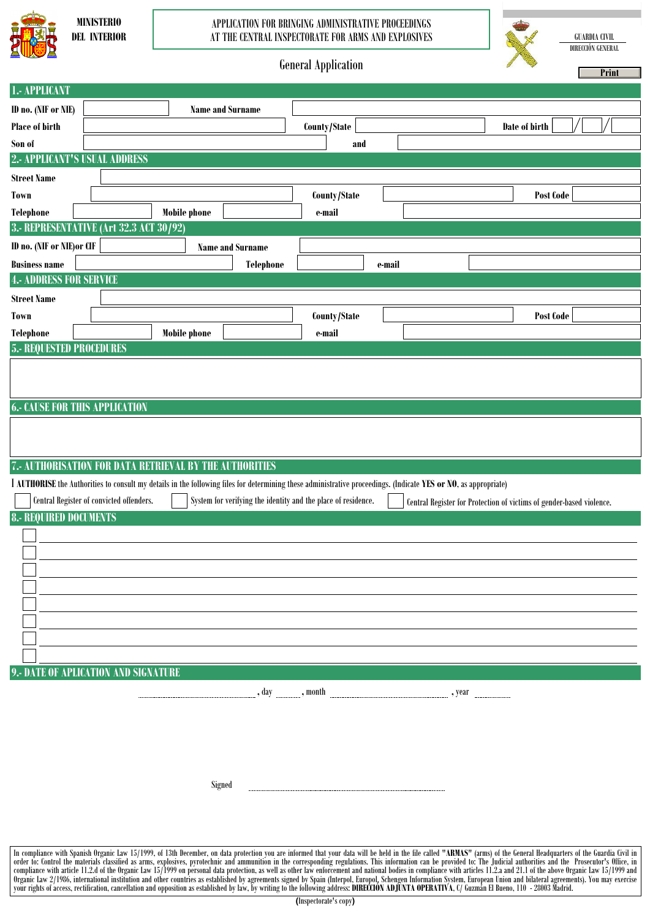

## APPLICATION FOR BRINGING ADMINISTRATIVE PROCEEDINGS AT THE CENTRAL INSPECTORATE FOR ARMS AND EXPLOSIVES

GUARDIA CIVIL DIRECCIÓN GENERAL

**CONTRACTOR** 



|                                                                                                                                                                                                                               |                                          |                                                                                                                                                                 | осистат пррисанон |                                                                      | Print |  |  |  |
|-------------------------------------------------------------------------------------------------------------------------------------------------------------------------------------------------------------------------------|------------------------------------------|-----------------------------------------------------------------------------------------------------------------------------------------------------------------|-------------------|----------------------------------------------------------------------|-------|--|--|--|
| 1.- APPLICANT                                                                                                                                                                                                                 |                                          |                                                                                                                                                                 |                   |                                                                      |       |  |  |  |
| ID no. (NIF or NIE)                                                                                                                                                                                                           |                                          | <b>Name and Surname</b>                                                                                                                                         |                   |                                                                      |       |  |  |  |
| Place of birth                                                                                                                                                                                                                |                                          |                                                                                                                                                                 | County/State      | Date of birth                                                        |       |  |  |  |
| Son of                                                                                                                                                                                                                        |                                          |                                                                                                                                                                 | and               |                                                                      |       |  |  |  |
| 2.- APPLICANT'S USUAL ADDRESS                                                                                                                                                                                                 |                                          |                                                                                                                                                                 |                   |                                                                      |       |  |  |  |
| <b>Street Name</b>                                                                                                                                                                                                            |                                          |                                                                                                                                                                 |                   |                                                                      |       |  |  |  |
| Town                                                                                                                                                                                                                          |                                          |                                                                                                                                                                 | County/State      | Post Code                                                            |       |  |  |  |
| <b>Telephone</b>                                                                                                                                                                                                              |                                          | <b>Mobile phone</b>                                                                                                                                             | e-mail            |                                                                      |       |  |  |  |
|                                                                                                                                                                                                                               | 3.- REPRESENTATIVE (Art 32.3 ACT 30/92)  |                                                                                                                                                                 |                   |                                                                      |       |  |  |  |
| ID no. (NIF or NIE) or CIF                                                                                                                                                                                                    |                                          | <b>Name and Surname</b>                                                                                                                                         |                   |                                                                      |       |  |  |  |
| <b>Business name</b>                                                                                                                                                                                                          |                                          | Telephone                                                                                                                                                       | e-mail            |                                                                      |       |  |  |  |
| <b>4.- ADDRESS FOR SERVICE</b>                                                                                                                                                                                                |                                          |                                                                                                                                                                 |                   |                                                                      |       |  |  |  |
| <b>Street Name</b>                                                                                                                                                                                                            |                                          |                                                                                                                                                                 |                   |                                                                      |       |  |  |  |
| Town                                                                                                                                                                                                                          |                                          |                                                                                                                                                                 | County/State      | Post Code                                                            |       |  |  |  |
| <b>Telephone</b>                                                                                                                                                                                                              |                                          | <b>Mobile phone</b>                                                                                                                                             | e-mail            |                                                                      |       |  |  |  |
| <b>5.- REQUESTED PROCEDURES</b>                                                                                                                                                                                               |                                          |                                                                                                                                                                 |                   |                                                                      |       |  |  |  |
|                                                                                                                                                                                                                               |                                          |                                                                                                                                                                 |                   |                                                                      |       |  |  |  |
|                                                                                                                                                                                                                               |                                          |                                                                                                                                                                 |                   |                                                                      |       |  |  |  |
|                                                                                                                                                                                                                               |                                          |                                                                                                                                                                 |                   |                                                                      |       |  |  |  |
| <b>6.- CAUSE FOR THIS APPLICATION</b>                                                                                                                                                                                         |                                          |                                                                                                                                                                 |                   |                                                                      |       |  |  |  |
|                                                                                                                                                                                                                               |                                          |                                                                                                                                                                 |                   |                                                                      |       |  |  |  |
|                                                                                                                                                                                                                               |                                          |                                                                                                                                                                 |                   |                                                                      |       |  |  |  |
|                                                                                                                                                                                                                               |                                          | 7.- AUTHORISATION FOR DATA RETRIEVAL BY THE AUTHORITIES                                                                                                         |                   |                                                                      |       |  |  |  |
|                                                                                                                                                                                                                               |                                          | I AUTHORISE the Authorities to consult my details in the following files for determining these administrative proceedings. (Indicate YES or NO, as appropriate) |                   |                                                                      |       |  |  |  |
|                                                                                                                                                                                                                               | Central Register of convicted offenders. | System for verifying the identity and the place of residence.                                                                                                   |                   | Central Register for Protection of victims of gender-based violence. |       |  |  |  |
| <b>8.- REQUIRED DOCUMENTS</b>                                                                                                                                                                                                 |                                          |                                                                                                                                                                 |                   |                                                                      |       |  |  |  |
|                                                                                                                                                                                                                               |                                          |                                                                                                                                                                 |                   |                                                                      |       |  |  |  |
|                                                                                                                                                                                                                               |                                          |                                                                                                                                                                 |                   |                                                                      |       |  |  |  |
|                                                                                                                                                                                                                               |                                          |                                                                                                                                                                 |                   |                                                                      |       |  |  |  |
|                                                                                                                                                                                                                               |                                          |                                                                                                                                                                 |                   |                                                                      |       |  |  |  |
|                                                                                                                                                                                                                               |                                          |                                                                                                                                                                 |                   |                                                                      |       |  |  |  |
|                                                                                                                                                                                                                               |                                          |                                                                                                                                                                 |                   |                                                                      |       |  |  |  |
|                                                                                                                                                                                                                               |                                          |                                                                                                                                                                 |                   |                                                                      |       |  |  |  |
|                                                                                                                                                                                                                               |                                          |                                                                                                                                                                 |                   |                                                                      |       |  |  |  |
|                                                                                                                                                                                                                               | 9.- DATE OF APLICATION AND SIGNATURE     |                                                                                                                                                                 |                   |                                                                      |       |  |  |  |
|                                                                                                                                                                                                                               |                                          |                                                                                                                                                                 |                   |                                                                      |       |  |  |  |
|                                                                                                                                                                                                                               |                                          |                                                                                                                                                                 |                   |                                                                      |       |  |  |  |
|                                                                                                                                                                                                                               |                                          |                                                                                                                                                                 |                   |                                                                      |       |  |  |  |
|                                                                                                                                                                                                                               |                                          |                                                                                                                                                                 |                   |                                                                      |       |  |  |  |
|                                                                                                                                                                                                                               |                                          |                                                                                                                                                                 |                   |                                                                      |       |  |  |  |
|                                                                                                                                                                                                                               |                                          |                                                                                                                                                                 |                   |                                                                      |       |  |  |  |
|                                                                                                                                                                                                                               |                                          | Signed                                                                                                                                                          |                   |                                                                      |       |  |  |  |
|                                                                                                                                                                                                                               |                                          |                                                                                                                                                                 |                   |                                                                      |       |  |  |  |
|                                                                                                                                                                                                                               |                                          |                                                                                                                                                                 |                   |                                                                      |       |  |  |  |
|                                                                                                                                                                                                                               |                                          |                                                                                                                                                                 |                   |                                                                      |       |  |  |  |
| In compliance with Spanish Organic Law 15/1999, of 13th December, on data protection you are informed that your data will be held in the file called "ARMAS" (arms) of the General Headquarters of the Guardia Civil in order |                                          |                                                                                                                                                                 |                   |                                                                      |       |  |  |  |
|                                                                                                                                                                                                                               |                                          |                                                                                                                                                                 |                   |                                                                      |       |  |  |  |

your rights of access, rectification, cancellation and opposition as established by law, by writing to the following address: **DIRECCIÓN ADJUNTA OPERATIVA**, C/ Guzmán El Bueno, 110 - 28003 Madrid.